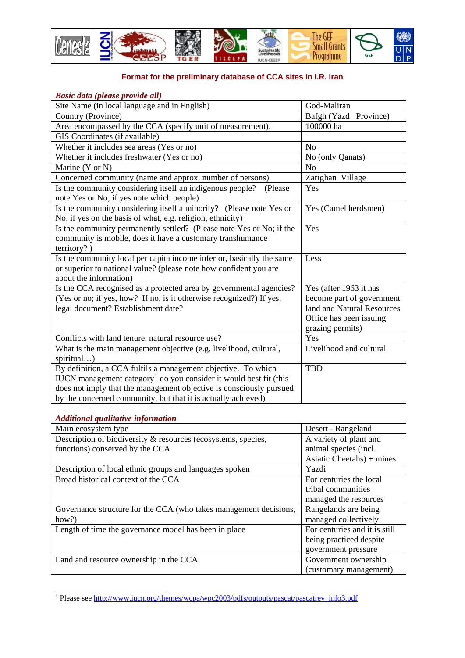

## **Format for the preliminary database of CCA sites in I.R. Iran**

## *Basic data (please provide all)*

| Site Name (in local language and in English)                                                                                                                         | God-Maliran                                             |
|----------------------------------------------------------------------------------------------------------------------------------------------------------------------|---------------------------------------------------------|
| Country (Province)                                                                                                                                                   | Bafgh (Yazd Province)                                   |
| Area encompassed by the CCA (specify unit of measurement).                                                                                                           | 100000 ha                                               |
| GIS Coordinates (if available)                                                                                                                                       |                                                         |
| Whether it includes sea areas (Yes or no)                                                                                                                            | N <sub>o</sub>                                          |
| Whether it includes freshwater (Yes or no)                                                                                                                           | No (only Qanats)                                        |
| Marine (Y or N)                                                                                                                                                      | N <sub>o</sub>                                          |
| Concerned community (name and approx. number of persons)                                                                                                             | Zarighan Village                                        |
| Is the community considering itself an indigenous people?<br>(Please<br>note Yes or No; if yes note which people)                                                    | Yes                                                     |
| Is the community considering itself a minority? (Please note Yes or<br>No, if yes on the basis of what, e.g. religion, ethnicity)                                    | Yes (Camel herdsmen)                                    |
| Is the community permanently settled? (Please note Yes or No; if the<br>community is mobile, does it have a customary transhumance<br>territory?)                    | Yes                                                     |
| Is the community local per capita income inferior, basically the same<br>or superior to national value? (please note how confident you are<br>about the information) | Less                                                    |
| Is the CCA recognised as a protected area by governmental agencies?                                                                                                  | Yes (after 1963 it has                                  |
| (Yes or no; if yes, how? If no, is it otherwise recognized?) If yes,<br>legal document? Establishment date?                                                          | become part of government<br>land and Natural Resources |
|                                                                                                                                                                      | Office has been issuing<br>grazing permits)             |
| Conflicts with land tenure, natural resource use?                                                                                                                    | Yes                                                     |
| What is the main management objective (e.g. livelihood, cultural,<br>spiritual)                                                                                      | Livelihood and cultural                                 |
| By definition, a CCA fulfils a management objective. To which                                                                                                        | <b>TBD</b>                                              |
| IUCN management category <sup>1</sup> do you consider it would best fit (this                                                                                        |                                                         |
| does not imply that the management objective is consciously pursued                                                                                                  |                                                         |
| by the concerned community, but that it is actually achieved)                                                                                                        |                                                         |

## *Additional qualitative information*

| Main ecosystem type                                               | Desert - Rangeland            |
|-------------------------------------------------------------------|-------------------------------|
| Description of biodiversity & resources (ecosystems, species,     | A variety of plant and        |
| functions) conserved by the CCA                                   | animal species (incl.         |
|                                                                   | Asiatic Cheetahs) + mines     |
| Description of local ethnic groups and languages spoken           | Yazdi                         |
| Broad historical context of the CCA                               | For centuries the local       |
|                                                                   | tribal communities            |
|                                                                   | managed the resources         |
| Governance structure for the CCA (who takes management decisions, | Rangelands are being          |
| how?)                                                             | managed collectively          |
| Length of time the governance model has been in place             | For centuries and it is still |
|                                                                   | being practiced despite       |
|                                                                   | government pressure           |
| Land and resource ownership in the CCA                            | Government ownership          |
|                                                                   | (customary management)        |

<span id="page-0-0"></span><sup>1&</sup>lt;br><sup>1</sup> Please see http://www.iucn.org/themes/wcpa/wpc2003/pdfs/outputs/pascat/pascatrev\_info3.pdf